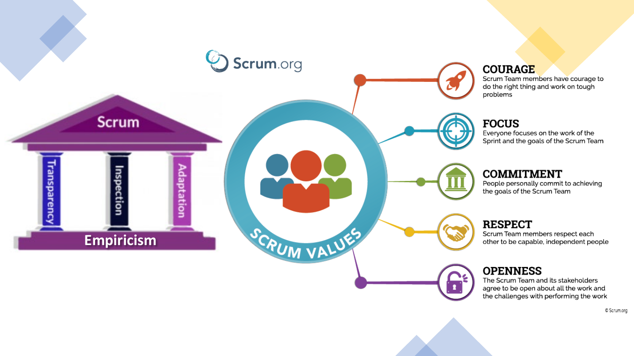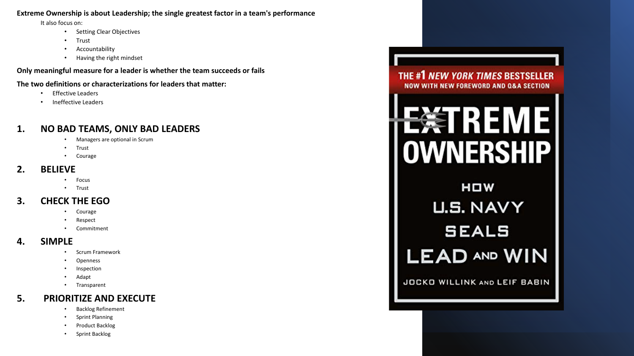#### **Extreme Ownership is about Leadership; the single greatest factor in a team's performance**

It also focus on:

- Setting Clear Objectives
- Trust
- Accountability
- Having the right mindset

**Only meaningful measure for a leader is whether the team succeeds or fails** 

**The two definitions or characterizations for leaders that matter:** 

- **Effective Leaders**
- Ineffective Leaders

## **1. NO BAD TEAMS, ONLY BAD LEADERS**

- Managers are optional in Scrum
- Trust
- Courage

#### **2. BELIEVE**

- Focus
- Trust

#### **3. CHECK THE EGO**

- Courage
- **Respect**
- **Commitment**

#### **4. SIMPLE**

- Scrum Framework
- **Openness**
- **Inspection**
- Adapt
- Transparent

### **5. PRIORITIZE AND EXECUTE**

- Backlog Refinement
- Sprint Planning
- Product Backlog
- Sprint Backlog





HOW **U.S. NAVY SEALS LEAD AND WIN** 

JOCKO WILLINK AND LEIF BABIN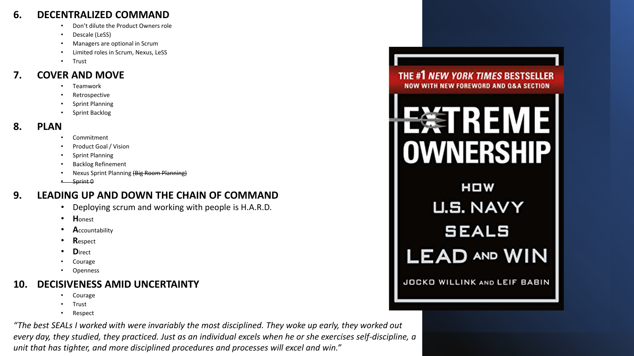#### **6. DECENTRALIZED COMMAND**

- Don't dilute the Product Owners role
- Descale (LeSS)
- Managers are optional in Scrum
- Limited roles in Scrum, Nexus, LeSS
- Trust

#### **7. COVER AND MOVE**

- Teamwork
- **Retrospective**
- Sprint Planning
- Sprint Backlog

#### **8. PLAN**

- Commitment
- Product Goal / Vision
- Sprint Planning
- Backlog Refinement
- Nexus Sprint Planning (Big Room Planning)
- Sprint 0

## **9. LEADING UP AND DOWN THE CHAIN OF COMMAND**

- Deploying scrum and working with people is H.A.R.D.
- **H**onest
- **A**ccountability
- **R**espect
- **D**irect
- Courage
- **Openness**

## **10. DECISIVENESS AMID UNCERTAINTY**

- **Courage**
- Trust
- Respect

*"The best SEALs I worked with were invariably the most disciplined. They woke up early, they worked out every day, they studied, they practiced. Just as an individual excels when he or she exercises self-discipline, a unit that has tighter, and more disciplined procedures and processes will excel and win."*





HOW **U.S. NAVY SEALS LEAD AND WIN** 

JOCKO WILLINK AND LEIF BABIN